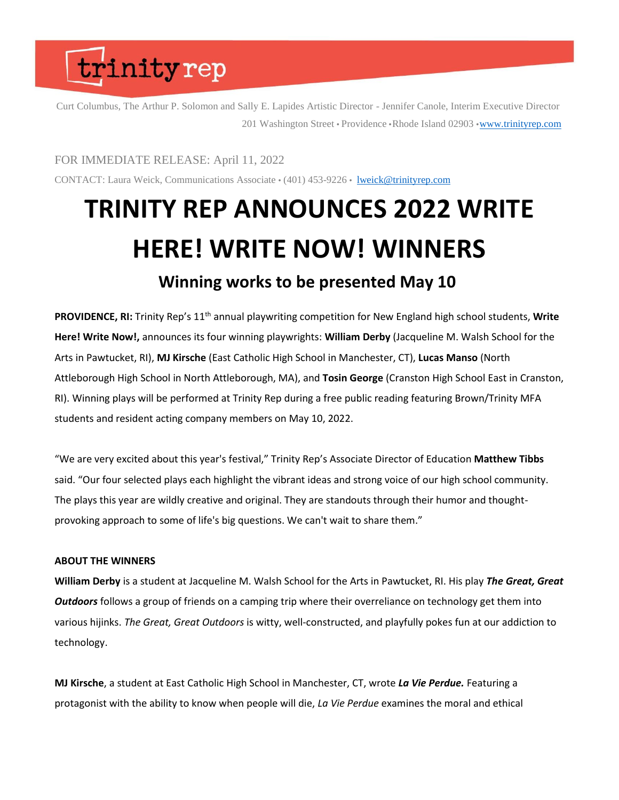### trinityrep

Curt Columbus, The Arthur P. Solomon and Sally E. Lapides Artistic Director - Jennifer Canole, Interim Executive Director 201 Washington Street • Providence • Rhode Island 02903 • [www.trinityrep.com](http://www.trinityrep.com/)

FOR IMMEDIATE RELEASE: April 11, 2022

CONTACT: Laura Weick, Communications Associate  $\cdot$  (401) 453-9226  $\cdot$  [lweick@trinityrep.com](mailto:lweick@trinityrep.com)

### **TRINITY REP ANNOUNCES 2022 WRITE HERE! WRITE NOW! WINNERS Winning works to be presented May 10**

PROVIDENCE, RI: Trinity Rep's 11<sup>th</sup> annual playwriting competition for New England high school students, Write **Here! Write Now!,** announces its four winning playwrights: **William Derby** (Jacqueline M. Walsh School for the Arts in Pawtucket, RI), **MJ Kirsche** (East Catholic High School in Manchester, CT), **Lucas Manso** (North Attleborough High School in North Attleborough, MA), and **Tosin George** (Cranston High School East in Cranston, RI). Winning plays will be performed at Trinity Rep during a free public reading featuring Brown/Trinity MFA students and resident acting company members on May 10, 2022.

"We are very excited about this year's festival," Trinity Rep's Associate Director of Education **Matthew Tibbs**  said. "Our four selected plays each highlight the vibrant ideas and strong voice of our high school community. The plays this year are wildly creative and original. They are standouts through their humor and thoughtprovoking approach to some of life's big questions. We can't wait to share them."

### **ABOUT THE WINNERS**

**William Derby** is a student at Jacqueline M. Walsh School for the Arts in Pawtucket, RI. His play *The Great, Great Outdoors* follows a group of friends on a camping trip where their overreliance on technology get them into various hijinks. *The Great, Great Outdoors* is witty, well-constructed, and playfully pokes fun at our addiction to technology.

**MJ Kirsche**, a student at East Catholic High School in Manchester, CT, wrote *La Vie Perdue.* Featuring a protagonist with the ability to know when people will die, *La Vie Perdue* examines the moral and ethical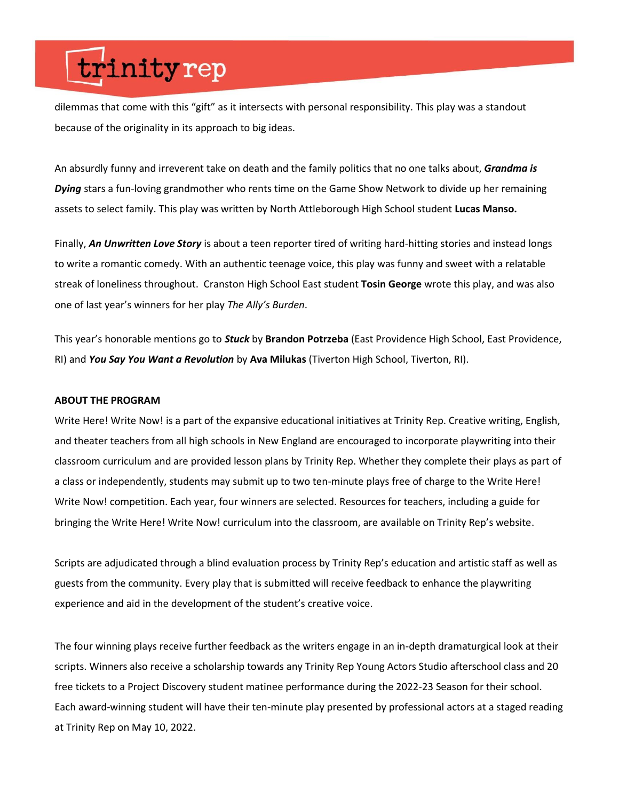## trinityrep

dilemmas that come with this "gift" as it intersects with personal responsibility. This play was a standout because of the originality in its approach to big ideas.

An absurdly funny and irreverent take on death and the family politics that no one talks about, *Grandma is Dying* stars a fun-loving grandmother who rents time on the Game Show Network to divide up her remaining assets to select family. This play was written by North Attleborough High School student **Lucas Manso.**

Finally, *An Unwritten Love Story* is about a teen reporter tired of writing hard-hitting stories and instead longs to write a romantic comedy. With an authentic teenage voice, this play was funny and sweet with a relatable streak of loneliness throughout.  Cranston High School East student **Tosin George** wrote this play, and was also one of last year's winners for her play *The Ally's Burden*.

This year's honorable mentions go to *Stuck* by **Brandon Potrzeba** (East Providence High School, East Providence, RI) and *You Say You Want a Revolution* by **Ava Milukas** (Tiverton High School, Tiverton, RI).

#### **ABOUT THE PROGRAM**

Write Here! Write Now! is a part of the expansive educational initiatives at Trinity Rep. Creative writing, English, and theater teachers from all high schools in New England are encouraged to incorporate playwriting into their classroom curriculum and are provided lesson plans by Trinity Rep. Whether they complete their plays as part of a class or independently, students may submit up to two ten-minute plays free of charge to the Write Here! Write Now! competition. Each year, four winners are selected. Resources for teachers, including a guide for bringing the Write Here! Write Now! curriculum into the classroom, are available on Trinity Rep's website.

Scripts are adjudicated through a blind evaluation process by Trinity Rep's education and artistic staff as well as guests from the community. Every play that is submitted will receive feedback to enhance the playwriting experience and aid in the development of the student's creative voice.

The four winning plays receive further feedback as the writers engage in an in-depth dramaturgical look at their scripts. Winners also receive a scholarship towards any Trinity Rep Young Actors Studio afterschool class and 20 free tickets to a Project Discovery student matinee performance during the 2022-23 Season for their school. Each award-winning student will have their ten-minute play presented by professional actors at a staged reading at Trinity Rep on May 10, 2022.